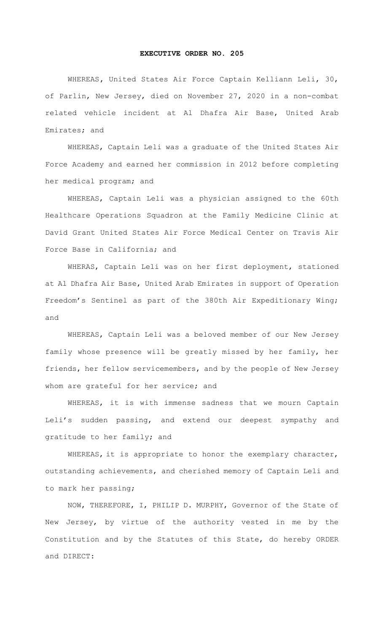## **EXECUTIVE ORDER NO. 205**

WHEREAS**,** United States Air Force Captain Kelliann Leli, 30, of Parlin, New Jersey, died on November 27, 2020 in a non-combat related vehicle incident at Al Dhafra Air Base, United Arab Emirates; and

WHEREAS, Captain Leli was a graduate of the United States Air Force Academy and earned her commission in 2012 before completing her medical program; and

WHEREAS, Captain Leli was a physician assigned to the 60th Healthcare Operations Squadron at the Family Medicine Clinic at David Grant United States Air Force Medical Center on Travis Air Force Base in California; and

WHERAS, Captain Leli was on her first deployment, stationed at Al Dhafra Air Base, United Arab Emirates in support of Operation Freedom's Sentinel as part of the 380th Air Expeditionary Wing; and

 WHEREAS, Captain Leli was a beloved member of our New Jersey family whose presence will be greatly missed by her family, her friends, her fellow servicemembers, and by the people of New Jersey whom are grateful for her service; and

 WHEREAS, it is with immense sadness that we mourn Captain Leli's sudden passing, and extend our deepest sympathy and gratitude to her family; and

 WHEREAS, it is appropriate to honor the exemplary character, outstanding achievements, and cherished memory of Captain Leli and to mark her passing;

 NOW, THEREFORE, I, PHILIP D. MURPHY, Governor of the State of New Jersey, by virtue of the authority vested in me by the Constitution and by the Statutes of this State, do hereby ORDER and DIRECT: